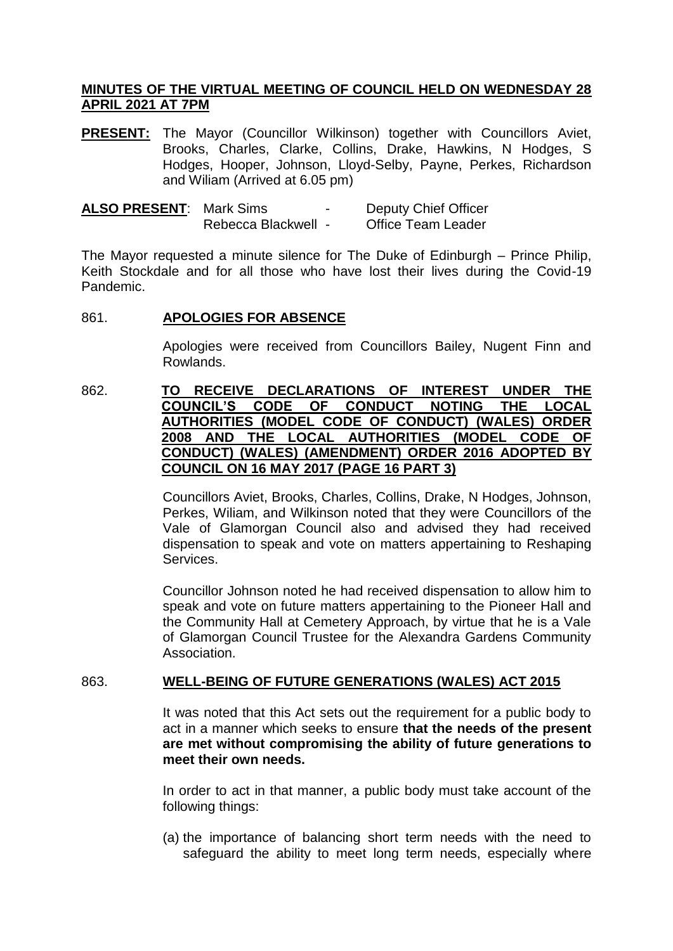# **MINUTES OF THE VIRTUAL MEETING OF COUNCIL HELD ON WEDNESDAY 28 APRIL 2021 AT 7PM**

**PRESENT:** The Mayor (Councillor Wilkinson) together with Councillors Aviet, Brooks, Charles, Clarke, Collins, Drake, Hawkins, N Hodges, S Hodges, Hooper, Johnson, Lloyd-Selby, Payne, Perkes, Richardson and Wiliam (Arrived at 6.05 pm)

| <b>ALSO PRESENT: Mark Sims</b> |                     | $\overline{\phantom{0}}$ | <b>Deputy Chief Officer</b> |
|--------------------------------|---------------------|--------------------------|-----------------------------|
|                                | Rebecca Blackwell - |                          | <b>Office Team Leader</b>   |

The Mayor requested a minute silence for The Duke of Edinburgh – Prince Philip, Keith Stockdale and for all those who have lost their lives during the Covid-19 Pandemic.

## 861. **APOLOGIES FOR ABSENCE**

Apologies were received from Councillors Bailey, Nugent Finn and Rowlands.

# 862. **TO RECEIVE DECLARATIONS OF INTEREST UNDER THE COUNCIL'S CODE OF CONDUCT NOTING THE LOCAL AUTHORITIES (MODEL CODE OF CONDUCT) (WALES) ORDER 2008 AND THE LOCAL AUTHORITIES (MODEL CODE OF CONDUCT) (WALES) (AMENDMENT) ORDER 2016 ADOPTED BY COUNCIL ON 16 MAY 2017 (PAGE 16 PART 3)**

Councillors Aviet, Brooks, Charles, Collins, Drake, N Hodges, Johnson, Perkes, Wiliam, and Wilkinson noted that they were Councillors of the Vale of Glamorgan Council also and advised they had received dispensation to speak and vote on matters appertaining to Reshaping Services.

Councillor Johnson noted he had received dispensation to allow him to speak and vote on future matters appertaining to the Pioneer Hall and the Community Hall at Cemetery Approach, by virtue that he is a Vale of Glamorgan Council Trustee for the Alexandra Gardens Community Association.

# 863. **WELL-BEING OF FUTURE GENERATIONS (WALES) ACT 2015**

It was noted that this Act sets out the requirement for a public body to act in a manner which seeks to ensure **that the needs of the present are met without compromising the ability of future generations to meet their own needs.**

In order to act in that manner, a public body must take account of the following things:

(a) the importance of balancing short term needs with the need to safeguard the ability to meet long term needs, especially where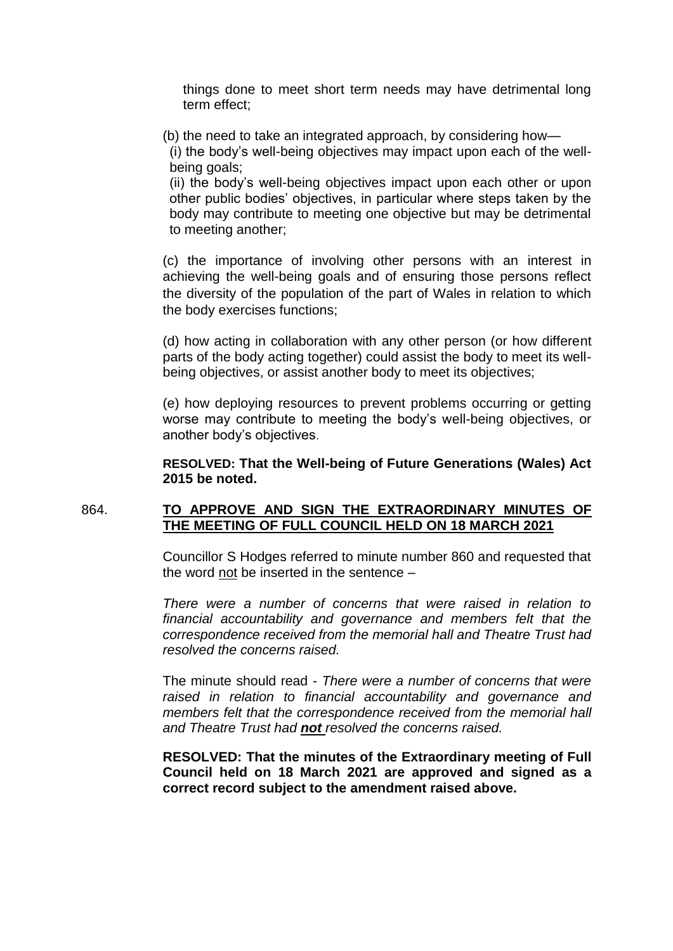things done to meet short term needs may have detrimental long term effect;

- (b) the need to take an integrated approach, by considering how—
- (i) the body's well-being objectives may impact upon each of the wellbeing goals;

(ii) the body's well-being objectives impact upon each other or upon other public bodies' objectives, in particular where steps taken by the body may contribute to meeting one objective but may be detrimental to meeting another;

(c) the importance of involving other persons with an interest in achieving the well-being goals and of ensuring those persons reflect the diversity of the population of the part of Wales in relation to which the body exercises functions;

(d) how acting in collaboration with any other person (or how different parts of the body acting together) could assist the body to meet its wellbeing objectives, or assist another body to meet its objectives;

(e) how deploying resources to prevent problems occurring or getting worse may contribute to meeting the body's well-being objectives, or another body's objectives.

**RESOLVED: That the Well-being of Future Generations (Wales) Act 2015 be noted.**

## 864. **TO APPROVE AND SIGN THE EXTRAORDINARY MINUTES OF THE MEETING OF FULL COUNCIL HELD ON 18 MARCH 2021**

Councillor S Hodges referred to minute number 860 and requested that the word not be inserted in the sentence –

*There were a number of concerns that were raised in relation to financial accountability and governance and members felt that the correspondence received from the memorial hall and Theatre Trust had resolved the concerns raised.* 

The minute should read - *There were a number of concerns that were raised in relation to financial accountability and governance and members felt that the correspondence received from the memorial hall and Theatre Trust had not resolved the concerns raised.*

**RESOLVED: That the minutes of the Extraordinary meeting of Full Council held on 18 March 2021 are approved and signed as a correct record subject to the amendment raised above.**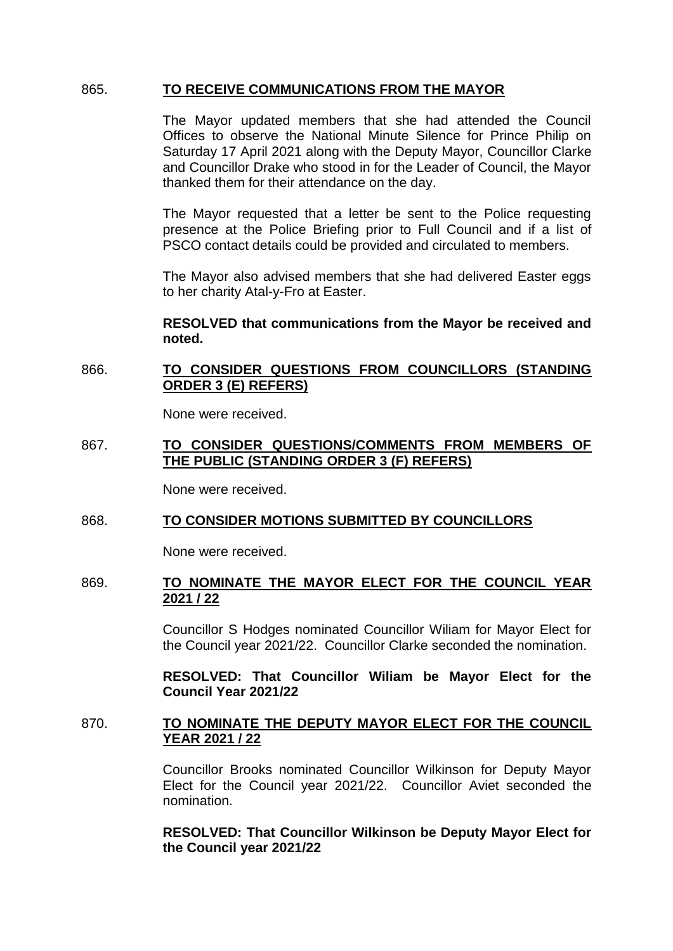### 865. **TO RECEIVE COMMUNICATIONS FROM THE MAYOR**

The Mayor updated members that she had attended the Council Offices to observe the National Minute Silence for Prince Philip on Saturday 17 April 2021 along with the Deputy Mayor, Councillor Clarke and Councillor Drake who stood in for the Leader of Council, the Mayor thanked them for their attendance on the day.

The Mayor requested that a letter be sent to the Police requesting presence at the Police Briefing prior to Full Council and if a list of PSCO contact details could be provided and circulated to members.

The Mayor also advised members that she had delivered Easter eggs to her charity Atal-y-Fro at Easter.

## **RESOLVED that communications from the Mayor be received and noted.**

# 866. **TO CONSIDER QUESTIONS FROM COUNCILLORS (STANDING ORDER 3 (E) REFERS)**

None were received.

## 867. **TO CONSIDER QUESTIONS/COMMENTS FROM MEMBERS OF THE PUBLIC (STANDING ORDER 3 (F) REFERS)**

None were received.

#### 868. **TO CONSIDER MOTIONS SUBMITTED BY COUNCILLORS**

None were received.

#### 869. **TO NOMINATE THE MAYOR ELECT FOR THE COUNCIL YEAR 2021 / 22**

Councillor S Hodges nominated Councillor Wiliam for Mayor Elect for the Council year 2021/22. Councillor Clarke seconded the nomination.

**RESOLVED: That Councillor Wiliam be Mayor Elect for the Council Year 2021/22**

# 870. **TO NOMINATE THE DEPUTY MAYOR ELECT FOR THE COUNCIL YEAR 2021 / 22**

Councillor Brooks nominated Councillor Wilkinson for Deputy Mayor Elect for the Council year 2021/22. Councillor Aviet seconded the nomination.

# **RESOLVED: That Councillor Wilkinson be Deputy Mayor Elect for the Council year 2021/22**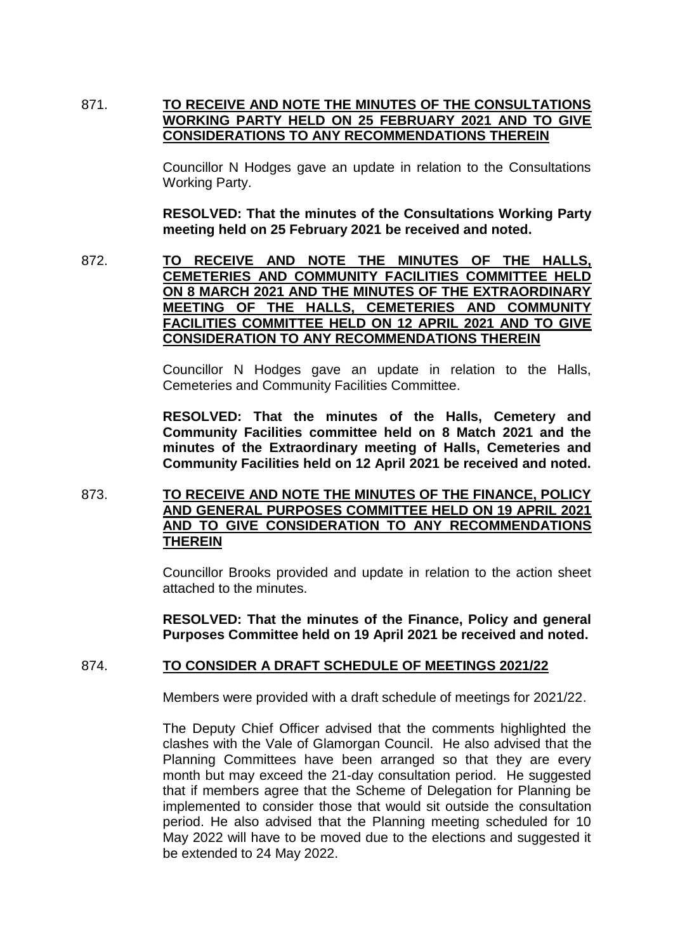# 871. **TO RECEIVE AND NOTE THE MINUTES OF THE CONSULTATIONS WORKING PARTY HELD ON 25 FEBRUARY 2021 AND TO GIVE CONSIDERATIONS TO ANY RECOMMENDATIONS THEREIN**

Councillor N Hodges gave an update in relation to the Consultations Working Party.

**RESOLVED: That the minutes of the Consultations Working Party meeting held on 25 February 2021 be received and noted.**

872. **TO RECEIVE AND NOTE THE MINUTES OF THE HALLS, CEMETERIES AND COMMUNITY FACILITIES COMMITTEE HELD ON 8 MARCH 2021 AND THE MINUTES OF THE EXTRAORDINARY MEETING OF THE HALLS, CEMETERIES AND COMMUNITY FACILITIES COMMITTEE HELD ON 12 APRIL 2021 AND TO GIVE CONSIDERATION TO ANY RECOMMENDATIONS THEREIN**

> Councillor N Hodges gave an update in relation to the Halls, Cemeteries and Community Facilities Committee.

> **RESOLVED: That the minutes of the Halls, Cemetery and Community Facilities committee held on 8 Match 2021 and the minutes of the Extraordinary meeting of Halls, Cemeteries and Community Facilities held on 12 April 2021 be received and noted.**

## 873. **TO RECEIVE AND NOTE THE MINUTES OF THE FINANCE, POLICY AND GENERAL PURPOSES COMMITTEE HELD ON 19 APRIL 2021 AND TO GIVE CONSIDERATION TO ANY RECOMMENDATIONS THEREIN**

Councillor Brooks provided and update in relation to the action sheet attached to the minutes.

**RESOLVED: That the minutes of the Finance, Policy and general Purposes Committee held on 19 April 2021 be received and noted.** 

#### 874. **TO CONSIDER A DRAFT SCHEDULE OF MEETINGS 2021/22**

Members were provided with a draft schedule of meetings for 2021/22.

The Deputy Chief Officer advised that the comments highlighted the clashes with the Vale of Glamorgan Council. He also advised that the Planning Committees have been arranged so that they are every month but may exceed the 21-day consultation period. He suggested that if members agree that the Scheme of Delegation for Planning be implemented to consider those that would sit outside the consultation period. He also advised that the Planning meeting scheduled for 10 May 2022 will have to be moved due to the elections and suggested it be extended to 24 May 2022.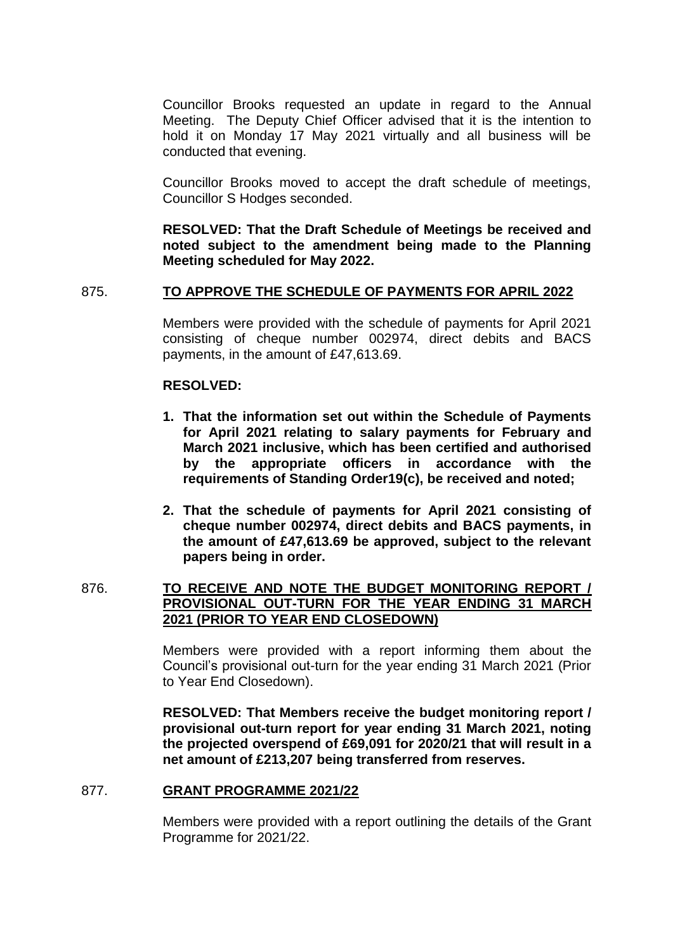Councillor Brooks requested an update in regard to the Annual Meeting. The Deputy Chief Officer advised that it is the intention to hold it on Monday 17 May 2021 virtually and all business will be conducted that evening.

Councillor Brooks moved to accept the draft schedule of meetings, Councillor S Hodges seconded.

**RESOLVED: That the Draft Schedule of Meetings be received and noted subject to the amendment being made to the Planning Meeting scheduled for May 2022.** 

## 875. **TO APPROVE THE SCHEDULE OF PAYMENTS FOR APRIL 2022**

Members were provided with the schedule of payments for April 2021 consisting of cheque number 002974, direct debits and BACS payments, in the amount of £47,613.69.

#### **RESOLVED:**

- **1. That the information set out within the Schedule of Payments for April 2021 relating to salary payments for February and March 2021 inclusive, which has been certified and authorised by the appropriate officers in accordance with the requirements of Standing Order19(c), be received and noted;**
- **2. That the schedule of payments for April 2021 consisting of cheque number 002974, direct debits and BACS payments, in the amount of £47,613.69 be approved, subject to the relevant papers being in order.**

# 876. **TO RECEIVE AND NOTE THE BUDGET MONITORING REPORT / PROVISIONAL OUT-TURN FOR THE YEAR ENDING 31 MARCH 2021 (PRIOR TO YEAR END CLOSEDOWN)**

Members were provided with a report informing them about the Council's provisional out-turn for the year ending 31 March 2021 (Prior to Year End Closedown).

**RESOLVED: That Members receive the budget monitoring report / provisional out-turn report for year ending 31 March 2021, noting the projected overspend of £69,091 for 2020/21 that will result in a net amount of £213,207 being transferred from reserves.**

#### 877. **GRANT PROGRAMME 2021/22**

Members were provided with a report outlining the details of the Grant Programme for 2021/22.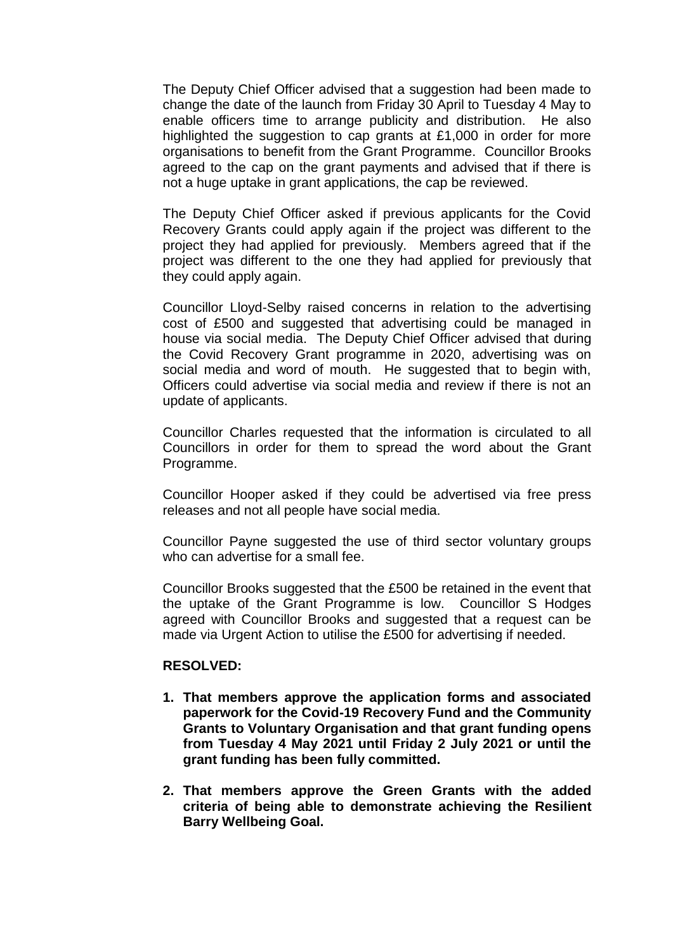The Deputy Chief Officer advised that a suggestion had been made to change the date of the launch from Friday 30 April to Tuesday 4 May to enable officers time to arrange publicity and distribution. He also highlighted the suggestion to cap grants at £1,000 in order for more organisations to benefit from the Grant Programme. Councillor Brooks agreed to the cap on the grant payments and advised that if there is not a huge uptake in grant applications, the cap be reviewed.

The Deputy Chief Officer asked if previous applicants for the Covid Recovery Grants could apply again if the project was different to the project they had applied for previously. Members agreed that if the project was different to the one they had applied for previously that they could apply again.

Councillor Lloyd-Selby raised concerns in relation to the advertising cost of £500 and suggested that advertising could be managed in house via social media. The Deputy Chief Officer advised that during the Covid Recovery Grant programme in 2020, advertising was on social media and word of mouth. He suggested that to begin with, Officers could advertise via social media and review if there is not an update of applicants.

Councillor Charles requested that the information is circulated to all Councillors in order for them to spread the word about the Grant Programme.

Councillor Hooper asked if they could be advertised via free press releases and not all people have social media.

Councillor Payne suggested the use of third sector voluntary groups who can advertise for a small fee.

Councillor Brooks suggested that the £500 be retained in the event that the uptake of the Grant Programme is low. Councillor S Hodges agreed with Councillor Brooks and suggested that a request can be made via Urgent Action to utilise the £500 for advertising if needed.

#### **RESOLVED:**

- **1. That members approve the application forms and associated paperwork for the Covid-19 Recovery Fund and the Community Grants to Voluntary Organisation and that grant funding opens from Tuesday 4 May 2021 until Friday 2 July 2021 or until the grant funding has been fully committed.**
- **2. That members approve the Green Grants with the added criteria of being able to demonstrate achieving the Resilient Barry Wellbeing Goal.**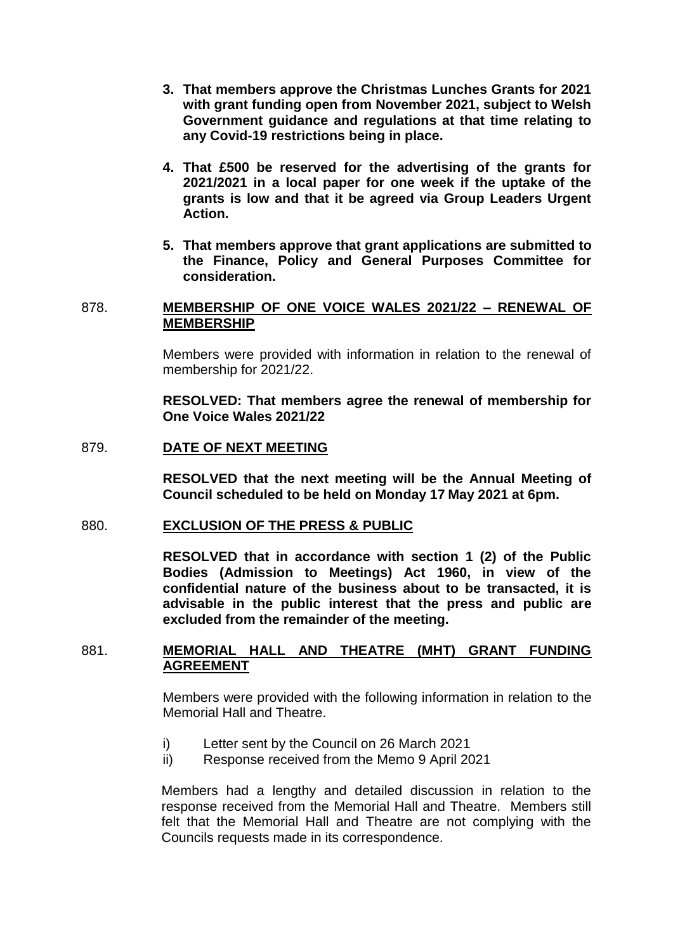- **3. That members approve the Christmas Lunches Grants for 2021 with grant funding open from November 2021, subject to Welsh Government guidance and regulations at that time relating to any Covid-19 restrictions being in place.**
- **4. That £500 be reserved for the advertising of the grants for 2021/2021 in a local paper for one week if the uptake of the grants is low and that it be agreed via Group Leaders Urgent Action.**
- **5. That members approve that grant applications are submitted to the Finance, Policy and General Purposes Committee for consideration.**

#### 878. **MEMBERSHIP OF ONE VOICE WALES 2021/22 – RENEWAL OF MEMBERSHIP**

Members were provided with information in relation to the renewal of membership for 2021/22.

**RESOLVED: That members agree the renewal of membership for One Voice Wales 2021/22** 

#### 879. **DATE OF NEXT MEETING**

**RESOLVED that the next meeting will be the Annual Meeting of Council scheduled to be held on Monday 17 May 2021 at 6pm.**

#### 880. **EXCLUSION OF THE PRESS & PUBLIC**

**RESOLVED that in accordance with section 1 (2) of the Public Bodies (Admission to Meetings) Act 1960, in view of the confidential nature of the business about to be transacted, it is advisable in the public interest that the press and public are excluded from the remainder of the meeting.**

### 881. **MEMORIAL HALL AND THEATRE (MHT) GRANT FUNDING AGREEMENT**

Members were provided with the following information in relation to the Memorial Hall and Theatre.

- i) Letter sent by the Council on 26 March 2021
- ii) Response received from the Memo 9 April 2021

Members had a lengthy and detailed discussion in relation to the response received from the Memorial Hall and Theatre. Members still felt that the Memorial Hall and Theatre are not complying with the Councils requests made in its correspondence.